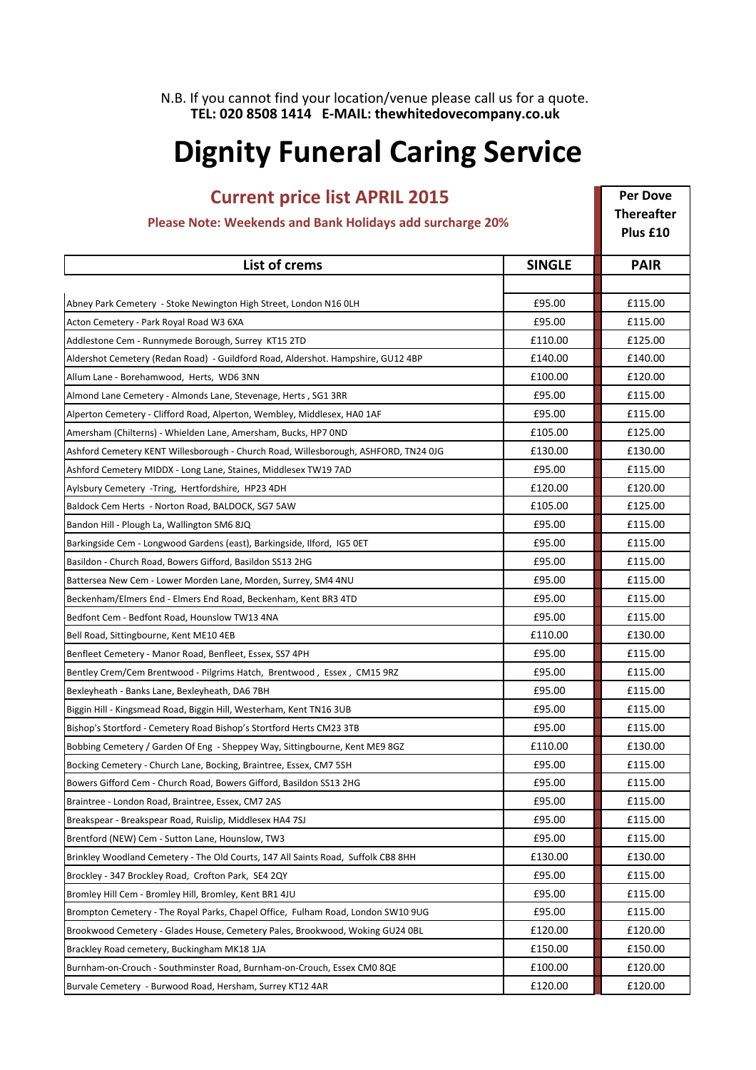N.B. If you cannot find your location/venue please call us for a quote. TEL: 020 8508 1414 E-MAIL: thewhitedovecompany.co.uk

## Dignity Funeral Caring Service

| <b>Current price list APRIL 2015</b>                                                |               | <b>Per Dove</b>   |
|-------------------------------------------------------------------------------------|---------------|-------------------|
|                                                                                     |               | <b>Thereafter</b> |
| Please Note: Weekends and Bank Holidays add surcharge 20%                           |               | Plus £10          |
| <b>List of crems</b>                                                                | <b>SINGLE</b> | <b>PAIR</b>       |
|                                                                                     |               |                   |
| Abney Park Cemetery - Stoke Newington High Street, London N16 OLH                   | £95.00        | £115.00           |
| Acton Cemetery - Park Royal Road W3 6XA                                             | £95.00        | £115.00           |
| Addlestone Cem - Runnymede Borough, Surrey KT15 2TD                                 | £110.00       | £125.00           |
| Aldershot Cemetery (Redan Road) - Guildford Road, Aldershot. Hampshire, GU12 4BP    | £140.00       | £140.00           |
| Allum Lane - Borehamwood, Herts, WD6 3NN                                            | £100.00       | £120.00           |
| Almond Lane Cemetery - Almonds Lane, Stevenage, Herts, SG1 3RR                      | £95.00        | £115.00           |
| Alperton Cemetery - Clifford Road, Alperton, Wembley, Middlesex, HAO 1AF            | £95.00        | £115.00           |
| Amersham (Chilterns) - Whielden Lane, Amersham, Bucks, HP7 OND                      | £105.00       | £125.00           |
| Ashford Cemetery KENT Willesborough - Church Road, Willesborough, ASHFORD, TN24 0JG | £130.00       | £130.00           |
| Ashford Cemetery MIDDX - Long Lane, Staines, Middlesex TW19 7AD                     | £95.00        | £115.00           |
| Aylsbury Cemetery -Tring, Hertfordshire, HP23 4DH                                   | £120.00       | £120.00           |
| Baldock Cem Herts - Norton Road, BALDOCK, SG7 5AW                                   | £105.00       | £125.00           |
| Bandon Hill - Plough La, Wallington SM6 8JQ                                         | £95.00        | £115.00           |
| Barkingside Cem - Longwood Gardens (east), Barkingside, Ilford, IG5 0ET             | £95.00        | £115.00           |
| Basildon - Church Road, Bowers Gifford, Basildon SS13 2HG                           | £95.00        | £115.00           |
| Battersea New Cem - Lower Morden Lane, Morden, Surrey, SM4 4NU                      | £95.00        | £115.00           |
| Beckenham/Elmers End - Elmers End Road, Beckenham, Kent BR3 4TD                     | £95.00        | £115.00           |
| Bedfont Cem - Bedfont Road, Hounslow TW13 4NA                                       | £95.00        | £115.00           |
| Bell Road, Sittingbourne, Kent ME10 4EB                                             | £110.00       | £130.00           |
| Benfleet Cemetery - Manor Road, Benfleet, Essex, SS7 4PH                            | £95.00        | £115.00           |
| Bentley Crem/Cem Brentwood - Pilgrims Hatch, Brentwood, Essex, CM15 9RZ             | £95.00        | £115.00           |
| Bexleyheath - Banks Lane, Bexleyheath, DA6 7BH                                      | £95.00        | £115.00           |
| Biggin Hill - Kingsmead Road, Biggin Hill, Westerham, Kent TN16 3UB                 | £95.00        | £115.00           |
| Bishop's Stortford - Cemetery Road Bishop's Stortford Herts CM23 3TB                | £95.00        | £115.00           |
| Bobbing Cemetery / Garden Of Eng - Sheppey Way, Sittingbourne, Kent ME9 8GZ         | £110.00       | £130.00           |
| Bocking Cemetery - Church Lane, Bocking, Braintree, Essex, CM7 5SH                  | £95.00        | £115.00           |
| Bowers Gifford Cem - Church Road, Bowers Gifford, Basildon SS13 2HG                 | £95.00        | £115.00           |
| Braintree - London Road, Braintree, Essex, CM7 2AS                                  | £95.00        | £115.00           |
| Breakspear - Breakspear Road, Ruislip, Middlesex HA4 7SJ                            | £95.00        | £115.00           |
| Brentford (NEW) Cem - Sutton Lane, Hounslow, TW3                                    | £95.00        | £115.00           |
| Brinkley Woodland Cemetery - The Old Courts, 147 All Saints Road, Suffolk CB8 8HH   | £130.00       | £130.00           |
| Brockley - 347 Brockley Road, Crofton Park, SE4 2QY                                 | £95.00        | £115.00           |
| Bromley Hill Cem - Bromley Hill, Bromley, Kent BR1 4JU                              | £95.00        | £115.00           |
| Brompton Cemetery - The Royal Parks, Chapel Office, Fulham Road, London SW10 9UG    | £95.00        | £115.00           |
| Brookwood Cemetery - Glades House, Cemetery Pales, Brookwood, Woking GU24 0BL       | £120.00       | £120.00           |
| Brackley Road cemetery, Buckingham MK18 1JA                                         | £150.00       | £150.00           |
| Burnham-on-Crouch - Southminster Road, Burnham-on-Crouch, Essex CM0 8QE             | £100.00       | £120.00           |
| Burvale Cemetery - Burwood Road, Hersham, Surrey KT12 4AR                           | £120.00       | £120.00           |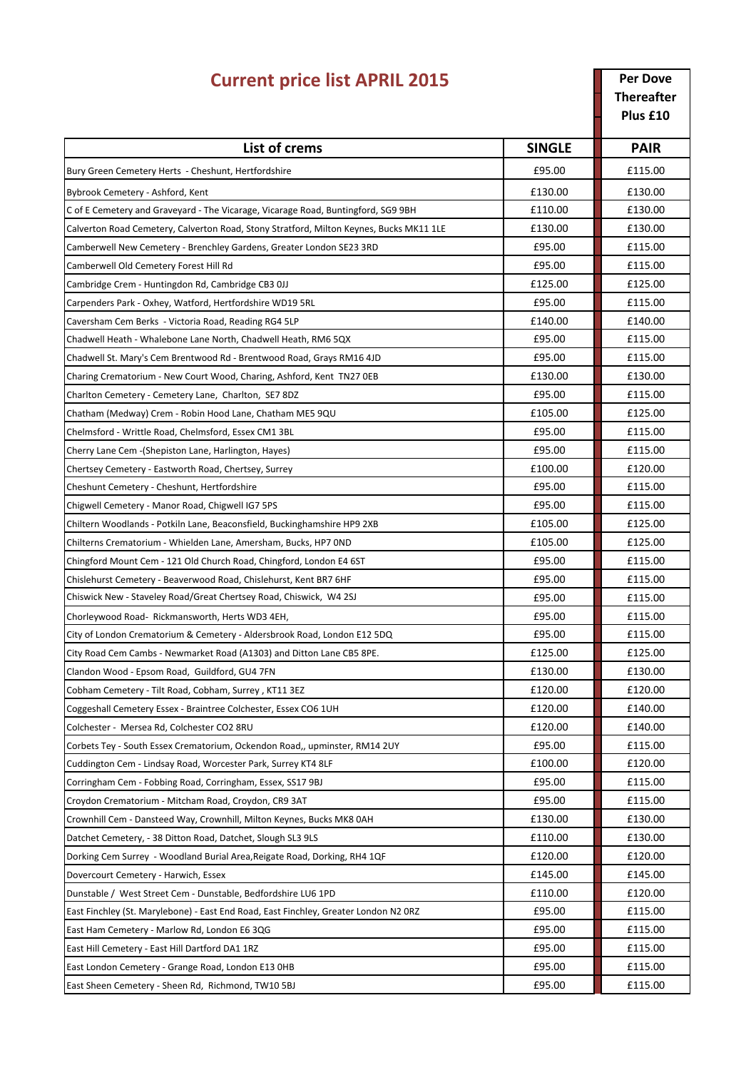| <b>Current price list APRIL 2015</b>                                                    |               | <b>Per Dove</b><br><b>Thereafter</b><br>Plus £10 |
|-----------------------------------------------------------------------------------------|---------------|--------------------------------------------------|
| <b>List of crems</b>                                                                    | <b>SINGLE</b> | <b>PAIR</b>                                      |
| Bury Green Cemetery Herts - Cheshunt, Hertfordshire                                     | £95.00        | £115.00                                          |
| Bybrook Cemetery - Ashford, Kent                                                        | £130.00       | £130.00                                          |
| C of E Cemetery and Graveyard - The Vicarage, Vicarage Road, Buntingford, SG9 9BH       | £110.00       | £130.00                                          |
| Calverton Road Cemetery, Calverton Road, Stony Stratford, Milton Keynes, Bucks MK11 1LE | £130.00       | £130.00                                          |
| Camberwell New Cemetery - Brenchley Gardens, Greater London SE23 3RD                    | £95.00        | £115.00                                          |
| Camberwell Old Cemetery Forest Hill Rd                                                  | £95.00        | £115.00                                          |
| Cambridge Crem - Huntingdon Rd, Cambridge CB3 0JJ                                       | £125.00       | £125.00                                          |
| Carpenders Park - Oxhey, Watford, Hertfordshire WD19 5RL                                | £95.00        | £115.00                                          |
| Caversham Cem Berks - Victoria Road, Reading RG4 5LP                                    | £140.00       | £140.00                                          |
| Chadwell Heath - Whalebone Lane North, Chadwell Heath, RM6 5QX                          | £95.00        | £115.00                                          |
| Chadwell St. Mary's Cem Brentwood Rd - Brentwood Road, Grays RM16 4JD                   | £95.00        | £115.00                                          |
| Charing Crematorium - New Court Wood, Charing, Ashford, Kent TN27 OEB                   | £130.00       | £130.00                                          |
| Charlton Cemetery - Cemetery Lane, Charlton, SE7 8DZ                                    | £95.00        | £115.00                                          |
| Chatham (Medway) Crem - Robin Hood Lane, Chatham ME5 9QU                                | £105.00       | £125.00                                          |
| Chelmsford - Writtle Road, Chelmsford, Essex CM1 3BL                                    | £95.00        | £115.00                                          |
| Cherry Lane Cem - (Shepiston Lane, Harlington, Hayes)                                   | £95.00        | £115.00                                          |
| Chertsey Cemetery - Eastworth Road, Chertsey, Surrey                                    | £100.00       | £120.00                                          |
| Cheshunt Cemetery - Cheshunt, Hertfordshire                                             | £95.00        | £115.00                                          |
| Chigwell Cemetery - Manor Road, Chigwell IG7 5PS                                        | £95.00        | £115.00                                          |
| Chiltern Woodlands - Potkiln Lane, Beaconsfield, Buckinghamshire HP9 2XB                | £105.00       | £125.00                                          |
| Chilterns Crematorium - Whielden Lane, Amersham, Bucks, HP7 OND                         | £105.00       | £125.00                                          |
| Chingford Mount Cem - 121 Old Church Road, Chingford, London E4 6ST                     | £95.00        | £115.00                                          |
| Chislehurst Cemetery - Beaverwood Road, Chislehurst, Kent BR7 6HF                       | £95.00        | £115.00                                          |
| Chiswick New - Staveley Road/Great Chertsey Road, Chiswick, W4 2SJ                      | £95.00        | £115.00                                          |
| Chorleywood Road- Rickmansworth, Herts WD3 4EH,                                         | £95.00        | £115.00                                          |
| City of London Crematorium & Cemetery - Aldersbrook Road, London E12 5DQ                | £95.00        | £115.00                                          |
| City Road Cem Cambs - Newmarket Road (A1303) and Ditton Lane CB5 8PE.                   | £125.00       | £125.00                                          |
| Clandon Wood - Epsom Road, Guildford, GU4 7FN                                           | £130.00       | £130.00                                          |
| Cobham Cemetery - Tilt Road, Cobham, Surrey, KT11 3EZ                                   | £120.00       | £120.00                                          |
| Coggeshall Cemetery Essex - Braintree Colchester, Essex CO6 1UH                         | £120.00       | £140.00                                          |
| Colchester - Mersea Rd, Colchester CO2 8RU                                              | £120.00       | £140.00                                          |
| Corbets Tey - South Essex Crematorium, Ockendon Road,, upminster, RM14 2UY              | £95.00        | £115.00                                          |
| Cuddington Cem - Lindsay Road, Worcester Park, Surrey KT4 8LF                           | £100.00       | £120.00                                          |
| Corringham Cem - Fobbing Road, Corringham, Essex, SS17 9BJ                              | £95.00        | £115.00                                          |
| Croydon Crematorium - Mitcham Road, Croydon, CR9 3AT                                    | £95.00        | £115.00                                          |
| Crownhill Cem - Dansteed Way, Crownhill, Milton Keynes, Bucks MK8 0AH                   | £130.00       | £130.00                                          |
| Datchet Cemetery, - 38 Ditton Road, Datchet, Slough SL3 9LS                             | £110.00       | £130.00                                          |
| Dorking Cem Surrey - Woodland Burial Area, Reigate Road, Dorking, RH4 1QF               | £120.00       | £120.00                                          |
| Dovercourt Cemetery - Harwich, Essex                                                    | £145.00       | £145.00                                          |
| Dunstable / West Street Cem - Dunstable, Bedfordshire LU6 1PD                           | £110.00       | £120.00                                          |
| East Finchley (St. Marylebone) - East End Road, East Finchley, Greater London N2 ORZ    | £95.00        | £115.00                                          |
| East Ham Cemetery - Marlow Rd, London E6 3QG                                            | £95.00        | £115.00                                          |
| East Hill Cemetery - East Hill Dartford DA1 1RZ                                         | £95.00        | £115.00                                          |
| East London Cemetery - Grange Road, London E13 OHB                                      | £95.00        | £115.00                                          |
| East Sheen Cemetery - Sheen Rd, Richmond, TW10 5BJ                                      | £95.00        | £115.00                                          |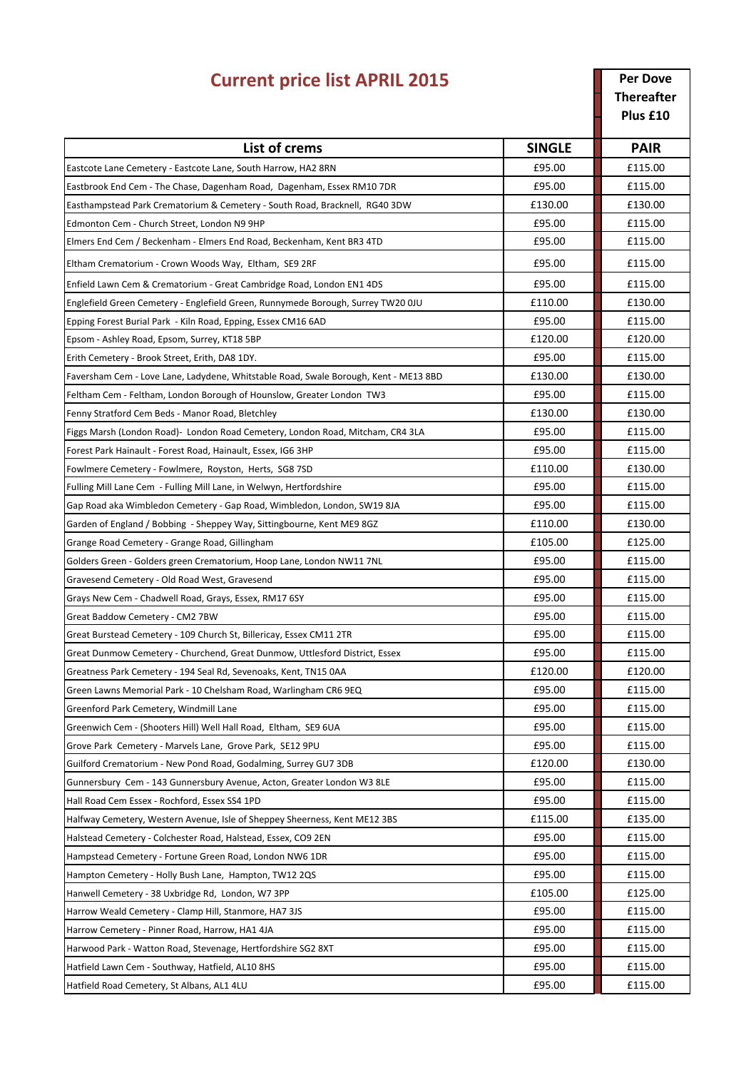| <b>Current price list APRIL 2015</b>                                                 |               | <b>Per Dove</b><br><b>Thereafter</b><br>Plus £10 |
|--------------------------------------------------------------------------------------|---------------|--------------------------------------------------|
| <b>List of crems</b>                                                                 | <b>SINGLE</b> | <b>PAIR</b>                                      |
| Eastcote Lane Cemetery - Eastcote Lane, South Harrow, HA2 8RN                        | £95.00        | £115.00                                          |
| Eastbrook End Cem - The Chase, Dagenham Road, Dagenham, Essex RM10 7DR               | £95.00        | £115.00                                          |
| Easthampstead Park Crematorium & Cemetery - South Road, Bracknell, RG40 3DW          | £130.00       | £130.00                                          |
| Edmonton Cem - Church Street, London N9 9HP                                          | £95.00        | £115.00                                          |
| Elmers End Cem / Beckenham - Elmers End Road, Beckenham, Kent BR3 4TD                | £95.00        | £115.00                                          |
| Eltham Crematorium - Crown Woods Way, Eltham, SE9 2RF                                | £95.00        | £115.00                                          |
| Enfield Lawn Cem & Crematorium - Great Cambridge Road, London EN1 4DS                | £95.00        | £115.00                                          |
| Englefield Green Cemetery - Englefield Green, Runnymede Borough, Surrey TW20 0JU     | £110.00       | £130.00                                          |
| Epping Forest Burial Park - Kiln Road, Epping, Essex CM16 6AD                        | £95.00        | £115.00                                          |
| Epsom - Ashley Road, Epsom, Surrey, KT18 5BP                                         | £120.00       | £120.00                                          |
| Erith Cemetery - Brook Street, Erith, DA8 1DY.                                       | £95.00        | £115.00                                          |
| Faversham Cem - Love Lane, Ladydene, Whitstable Road, Swale Borough, Kent - ME13 8BD | £130.00       | £130.00                                          |
| Feltham Cem - Feltham, London Borough of Hounslow, Greater London TW3                | £95.00        | £115.00                                          |
| Fenny Stratford Cem Beds - Manor Road, Bletchley                                     | £130.00       | £130.00                                          |
| Figgs Marsh (London Road) - London Road Cemetery, London Road, Mitcham, CR4 3LA      | £95.00        | £115.00                                          |
| Forest Park Hainault - Forest Road, Hainault, Essex, IG6 3HP                         | £95.00        | £115.00                                          |
| Fowlmere Cemetery - Fowlmere, Royston, Herts, SG8 7SD                                | £110.00       | £130.00                                          |
| Fulling Mill Lane Cem - Fulling Mill Lane, in Welwyn, Hertfordshire                  | £95.00        | £115.00                                          |
| Gap Road aka Wimbledon Cemetery - Gap Road, Wimbledon, London, SW19 8JA              | £95.00        | £115.00                                          |
| Garden of England / Bobbing - Sheppey Way, Sittingbourne, Kent ME9 8GZ               | £110.00       | £130.00                                          |
| Grange Road Cemetery - Grange Road, Gillingham                                       | £105.00       | £125.00                                          |
| Golders Green - Golders green Crematorium, Hoop Lane, London NW11 7NL                | £95.00        | £115.00                                          |
| Gravesend Cemetery - Old Road West, Gravesend                                        | £95.00        | £115.00                                          |
| Grays New Cem - Chadwell Road, Grays, Essex, RM17 6SY                                | £95.00        | £115.00                                          |
| Great Baddow Cemetery - CM2 7BW                                                      | £95.00        | £115.00                                          |
| Great Burstead Cemetery - 109 Church St, Billericay, Essex CM11 2TR                  | £95.00        | £115.00                                          |
| Great Dunmow Cemetery - Churchend, Great Dunmow, Uttlesford District, Essex          | £95.00        | £115.00                                          |
| Greatness Park Cemetery - 194 Seal Rd, Sevenoaks, Kent, TN15 0AA                     | £120.00       | £120.00                                          |
| Green Lawns Memorial Park - 10 Chelsham Road, Warlingham CR6 9EQ                     | £95.00        | £115.00                                          |
| Greenford Park Cemetery, Windmill Lane                                               | £95.00        | £115.00                                          |
| Greenwich Cem - (Shooters Hill) Well Hall Road, Eltham, SE9 6UA                      | £95.00        | £115.00                                          |
| Grove Park Cemetery - Marvels Lane, Grove Park, SE12 9PU                             | £95.00        | £115.00                                          |
| Guilford Crematorium - New Pond Road, Godalming, Surrey GU7 3DB                      | £120.00       | £130.00                                          |
| Gunnersbury Cem - 143 Gunnersbury Avenue, Acton, Greater London W3 8LE               | £95.00        | £115.00                                          |
| Hall Road Cem Essex - Rochford, Essex SS4 1PD                                        | £95.00        | £115.00                                          |
| Halfway Cemetery, Western Avenue, Isle of Sheppey Sheerness, Kent ME12 3BS           | £115.00       | £135.00                                          |
| Halstead Cemetery - Colchester Road, Halstead, Essex, CO9 2EN                        | £95.00        | £115.00                                          |
| Hampstead Cemetery - Fortune Green Road, London NW6 1DR                              | £95.00        | £115.00                                          |
| Hampton Cemetery - Holly Bush Lane, Hampton, TW12 2QS                                | £95.00        | £115.00                                          |
| Hanwell Cemetery - 38 Uxbridge Rd, London, W7 3PP                                    | £105.00       | £125.00                                          |
| Harrow Weald Cemetery - Clamp Hill, Stanmore, HA7 3JS                                | £95.00        | £115.00                                          |
| Harrow Cemetery - Pinner Road, Harrow, HA1 4JA                                       | £95.00        | £115.00                                          |
| Harwood Park - Watton Road, Stevenage, Hertfordshire SG2 8XT                         | £95.00        | £115.00                                          |
| Hatfield Lawn Cem - Southway, Hatfield, AL10 8HS                                     | £95.00        | £115.00                                          |
| Hatfield Road Cemetery, St Albans, AL1 4LU                                           | £95.00        | £115.00                                          |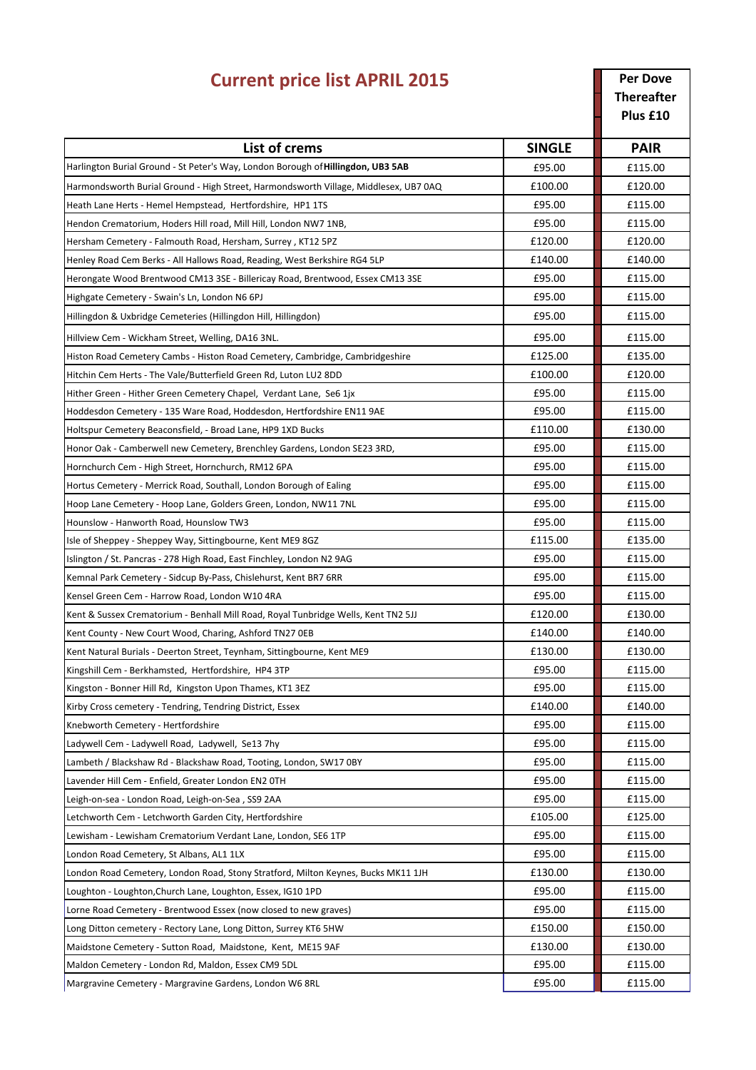| <b>Current price list APRIL 2015</b>                                                    |               | <b>Per Dove</b><br><b>Thereafter</b><br>Plus £10 |
|-----------------------------------------------------------------------------------------|---------------|--------------------------------------------------|
| <b>List of crems</b>                                                                    | <b>SINGLE</b> | <b>PAIR</b>                                      |
| Harlington Burial Ground - St Peter's Way, London Borough of <b>Hillingdon, UB3 5AB</b> | £95.00        | £115.00                                          |
| Harmondsworth Burial Ground - High Street, Harmondsworth Village, Middlesex, UB7 0AQ    | £100.00       | £120.00                                          |
| Heath Lane Herts - Hemel Hempstead, Hertfordshire, HP1 1TS                              | £95.00        | £115.00                                          |
| Hendon Crematorium, Hoders Hill road, Mill Hill, London NW7 1NB,                        | £95.00        | £115.00                                          |
| Hersham Cemetery - Falmouth Road, Hersham, Surrey, KT12 5PZ                             | £120.00       | £120.00                                          |
| Henley Road Cem Berks - All Hallows Road, Reading, West Berkshire RG4 5LP               | £140.00       | £140.00                                          |
| Herongate Wood Brentwood CM13 3SE - Billericay Road, Brentwood, Essex CM13 3SE          | £95.00        | £115.00                                          |
| Highgate Cemetery - Swain's Ln, London N6 6PJ                                           | £95.00        | £115.00                                          |
| Hillingdon & Uxbridge Cemeteries (Hillingdon Hill, Hillingdon)                          | £95.00        | £115.00                                          |
| Hillview Cem - Wickham Street, Welling, DA16 3NL.                                       | £95.00        | £115.00                                          |
| Histon Road Cemetery Cambs - Histon Road Cemetery, Cambridge, Cambridgeshire            | £125.00       | £135.00                                          |
| Hitchin Cem Herts - The Vale/Butterfield Green Rd, Luton LU2 8DD                        | £100.00       | £120.00                                          |
| Hither Green - Hither Green Cemetery Chapel, Verdant Lane, Se6 1jx                      | £95.00        | £115.00                                          |
| Hoddesdon Cemetery - 135 Ware Road, Hoddesdon, Hertfordshire EN11 9AE                   | £95.00        | £115.00                                          |
| Holtspur Cemetery Beaconsfield, - Broad Lane, HP9 1XD Bucks                             | £110.00       | £130.00                                          |
| Honor Oak - Camberwell new Cemetery, Brenchley Gardens, London SE23 3RD,                | £95.00        | £115.00                                          |
| Hornchurch Cem - High Street, Hornchurch, RM12 6PA                                      | £95.00        | £115.00                                          |
| Hortus Cemetery - Merrick Road, Southall, London Borough of Ealing                      | £95.00        | £115.00                                          |
| Hoop Lane Cemetery - Hoop Lane, Golders Green, London, NW11 7NL                         | £95.00        | £115.00                                          |
| Hounslow - Hanworth Road, Hounslow TW3                                                  | £95.00        | £115.00                                          |
| Isle of Sheppey - Sheppey Way, Sittingbourne, Kent ME9 8GZ                              | £115.00       | £135.00                                          |
| Islington / St. Pancras - 278 High Road, East Finchley, London N2 9AG                   | £95.00        | £115.00                                          |
| Kemnal Park Cemetery - Sidcup By-Pass, Chislehurst, Kent BR7 6RR                        | £95.00        | £115.00                                          |
| Kensel Green Cem - Harrow Road, London W10 4RA                                          | £95.00        | £115.00                                          |
| Kent & Sussex Crematorium - Benhall Mill Road, Royal Tunbridge Wells, Kent TN2 5JJ      | £120.00       | £130.00                                          |
| Kent County - New Court Wood, Charing, Ashford TN27 OEB                                 | £140.00       | £140.00                                          |
| Kent Natural Burials - Deerton Street, Teynham, Sittingbourne, Kent ME9                 | £130.00       | £130.00                                          |
| Kingshill Cem - Berkhamsted, Hertfordshire, HP4 3TP                                     | £95.00        | £115.00                                          |
| Kingston - Bonner Hill Rd, Kingston Upon Thames, KT1 3EZ                                | £95.00        | £115.00                                          |
| Kirby Cross cemetery - Tendring, Tendring District, Essex                               | £140.00       | £140.00                                          |
| Knebworth Cemetery - Hertfordshire                                                      | £95.00        | £115.00                                          |
| Ladywell Cem - Ladywell Road, Ladywell, Se13 7hy                                        | £95.00        | £115.00                                          |
| Lambeth / Blackshaw Rd - Blackshaw Road, Tooting, London, SW17 0BY                      | £95.00        | £115.00                                          |
| Lavender Hill Cem - Enfield, Greater London EN2 OTH                                     | £95.00        | £115.00                                          |
| Leigh-on-sea - London Road, Leigh-on-Sea, SS9 2AA                                       | £95.00        | £115.00                                          |
| Letchworth Cem - Letchworth Garden City, Hertfordshire                                  | £105.00       | £125.00                                          |
| Lewisham - Lewisham Crematorium Verdant Lane, London, SE6 1TP                           | £95.00        | £115.00                                          |
| London Road Cemetery, St Albans, AL1 1LX                                                | £95.00        | £115.00                                          |
| London Road Cemetery, London Road, Stony Stratford, Milton Keynes, Bucks MK11 1JH       | £130.00       | £130.00                                          |
| Loughton - Loughton, Church Lane, Loughton, Essex, IG10 1PD                             | £95.00        | £115.00                                          |
| Lorne Road Cemetery - Brentwood Essex (now closed to new graves)                        | £95.00        | £115.00                                          |
| Long Ditton cemetery - Rectory Lane, Long Ditton, Surrey KT6 5HW                        | £150.00       | £150.00                                          |
| Maidstone Cemetery - Sutton Road, Maidstone, Kent, ME15 9AF                             | £130.00       | £130.00                                          |
| Maldon Cemetery - London Rd, Maldon, Essex CM9 5DL                                      | £95.00        | £115.00                                          |
| Margravine Cemetery - Margravine Gardens, London W6 8RL                                 | £95.00        | £115.00                                          |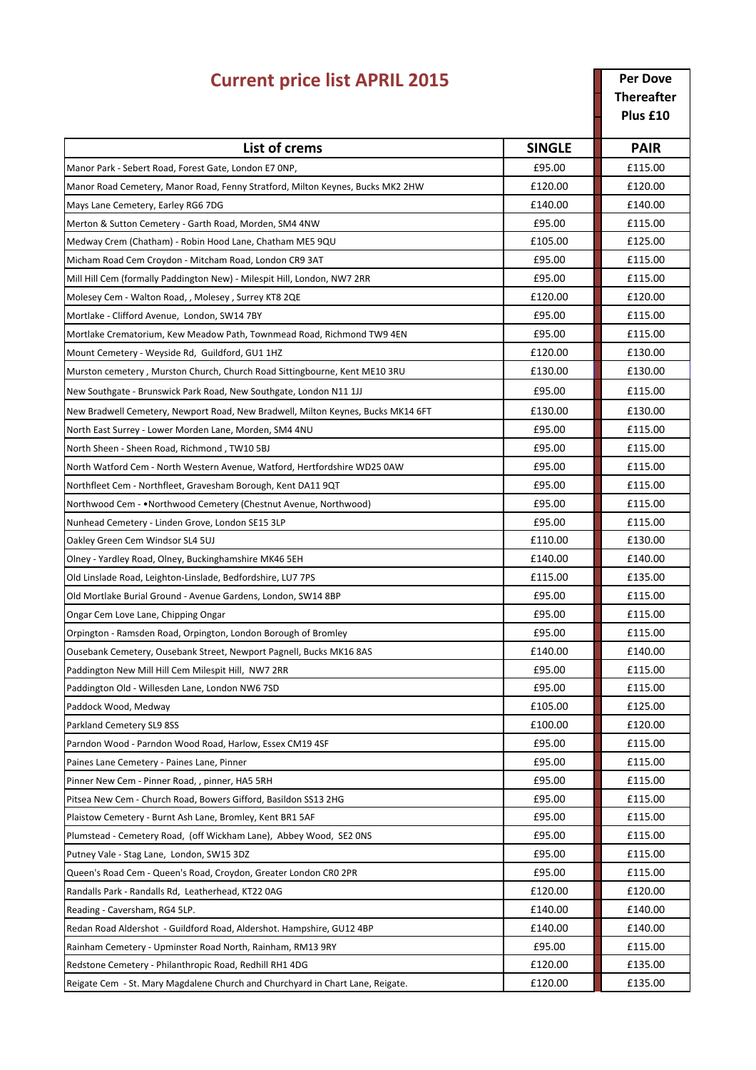| <b>Current price list APRIL 2015</b>                                             |               | <b>Per Dove</b><br><b>Thereafter</b><br>Plus £10 |
|----------------------------------------------------------------------------------|---------------|--------------------------------------------------|
| List of crems                                                                    | <b>SINGLE</b> | <b>PAIR</b>                                      |
| Manor Park - Sebert Road, Forest Gate, London E7 ONP,                            | £95.00        | £115.00                                          |
| Manor Road Cemetery, Manor Road, Fenny Stratford, Milton Keynes, Bucks MK2 2HW   | £120.00       | £120.00                                          |
| Mays Lane Cemetery, Earley RG6 7DG                                               | £140.00       | £140.00                                          |
| Merton & Sutton Cemetery - Garth Road, Morden, SM4 4NW                           | £95.00        | £115.00                                          |
| Medway Crem (Chatham) - Robin Hood Lane, Chatham ME5 9QU                         | £105.00       | £125.00                                          |
| Micham Road Cem Croydon - Mitcham Road, London CR9 3AT                           | £95.00        | £115.00                                          |
| Mill Hill Cem (formally Paddington New) - Milespit Hill, London, NW7 2RR         | £95.00        | £115.00                                          |
| Molesey Cem - Walton Road, , Molesey, Surrey KT8 2QE                             | £120.00       | £120.00                                          |
| Mortlake - Clifford Avenue, London, SW14 7BY                                     | £95.00        | £115.00                                          |
| Mortlake Crematorium, Kew Meadow Path, Townmead Road, Richmond TW9 4EN           | £95.00        | £115.00                                          |
| Mount Cemetery - Weyside Rd, Guildford, GU1 1HZ                                  | £120.00       | £130.00                                          |
| Murston cemetery, Murston Church, Church Road Sittingbourne, Kent ME10 3RU       | £130.00       | £130.00                                          |
| New Southgate - Brunswick Park Road, New Southgate, London N11 1JJ               | £95.00        | £115.00                                          |
| New Bradwell Cemetery, Newport Road, New Bradwell, Milton Keynes, Bucks MK14 6FT | £130.00       | £130.00                                          |
| North East Surrey - Lower Morden Lane, Morden, SM4 4NU                           | £95.00        | £115.00                                          |
| North Sheen - Sheen Road, Richmond, TW10 5BJ                                     | £95.00        | £115.00                                          |
| North Watford Cem - North Western Avenue, Watford, Hertfordshire WD25 0AW        | £95.00        | £115.00                                          |
| Northfleet Cem - Northfleet, Gravesham Borough, Kent DA11 9QT                    | £95.00        | £115.00                                          |
| Northwood Cem - • Northwood Cemetery (Chestnut Avenue, Northwood)                | £95.00        | £115.00                                          |
| Nunhead Cemetery - Linden Grove, London SE15 3LP                                 | £95.00        | £115.00                                          |
| Oakley Green Cem Windsor SL4 5UJ                                                 | £110.00       | £130.00                                          |
| Olney - Yardley Road, Olney, Buckinghamshire MK46 5EH                            | £140.00       | £140.00                                          |
| Old Linslade Road, Leighton-Linslade, Bedfordshire, LU7 7PS                      | £115.00       | £135.00                                          |
| Old Mortlake Burial Ground - Avenue Gardens, London, SW14 8BP                    | £95.00        | £115.00                                          |
| Ongar Cem Love Lane, Chipping Ongar                                              | £95.00        | £115.00                                          |
| Orpington - Ramsden Road, Orpington, London Borough of Bromley                   | £95.00        | £115.00                                          |
| Ousebank Cemetery, Ousebank Street, Newport Pagnell, Bucks MK16 8AS              | £140.00       | £140.00                                          |
| Paddington New Mill Hill Cem Milespit Hill, NW7 2RR                              | £95.00        | £115.00                                          |
| Paddington Old - Willesden Lane, London NW6 7SD                                  | £95.00        | £115.00                                          |
| Paddock Wood, Medway                                                             | £105.00       | £125.00                                          |
| Parkland Cemetery SL9 8SS                                                        | £100.00       | £120.00                                          |
| Parndon Wood - Parndon Wood Road, Harlow, Essex CM19 4SF                         | £95.00        | £115.00                                          |
| Paines Lane Cemetery - Paines Lane, Pinner                                       | £95.00        | £115.00                                          |
| Pinner New Cem - Pinner Road, , pinner, HA5 5RH                                  | £95.00        | £115.00                                          |
| Pitsea New Cem - Church Road, Bowers Gifford, Basildon SS13 2HG                  | £95.00        | £115.00                                          |
| Plaistow Cemetery - Burnt Ash Lane, Bromley, Kent BR1 5AF                        | £95.00        | £115.00                                          |
| Plumstead - Cemetery Road, (off Wickham Lane), Abbey Wood, SE2 ONS               | £95.00        | £115.00                                          |
| Putney Vale - Stag Lane, London, SW15 3DZ                                        | £95.00        | £115.00                                          |
| Queen's Road Cem - Queen's Road, Croydon, Greater London CRO 2PR                 | £95.00        | £115.00                                          |
| Randalls Park - Randalls Rd, Leatherhead, KT22 0AG                               | £120.00       | £120.00                                          |
| Reading - Caversham, RG4 5LP.                                                    | £140.00       | £140.00                                          |
| Redan Road Aldershot - Guildford Road, Aldershot. Hampshire, GU12 4BP            | £140.00       | £140.00                                          |
| Rainham Cemetery - Upminster Road North, Rainham, RM13 9RY                       | £95.00        | £115.00                                          |
| Redstone Cemetery - Philanthropic Road, Redhill RH1 4DG                          | £120.00       | £135.00                                          |
| Reigate Cem - St. Mary Magdalene Church and Churchyard in Chart Lane, Reigate.   | £120.00       | £135.00                                          |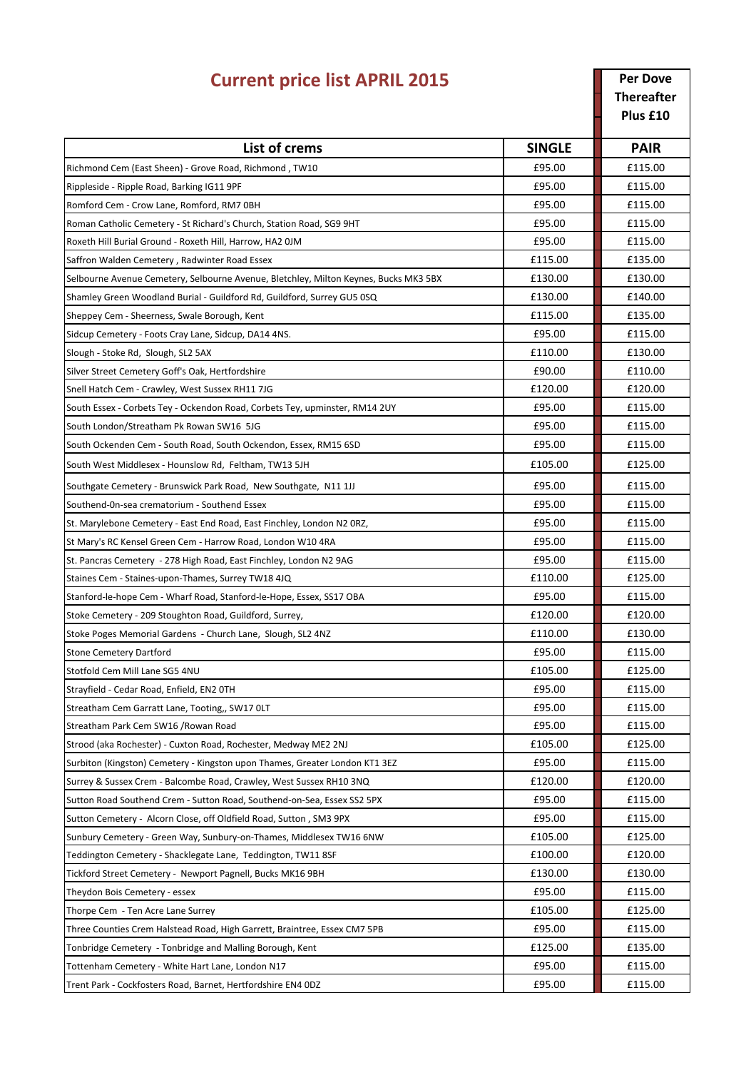| <b>Current price list APRIL 2015</b>                                                 |               | <b>Per Dove</b><br><b>Thereafter</b><br>Plus £10 |
|--------------------------------------------------------------------------------------|---------------|--------------------------------------------------|
| List of crems                                                                        | <b>SINGLE</b> | <b>PAIR</b>                                      |
| Richmond Cem (East Sheen) - Grove Road, Richmond, TW10                               | £95.00        | £115.00                                          |
| Rippleside - Ripple Road, Barking IG11 9PF                                           | £95.00        | £115.00                                          |
| Romford Cem - Crow Lane, Romford, RM7 0BH                                            | £95.00        | £115.00                                          |
| Roman Catholic Cemetery - St Richard's Church, Station Road, SG9 9HT                 | £95.00        | £115.00                                          |
| Roxeth Hill Burial Ground - Roxeth Hill, Harrow, HA2 OJM                             | £95.00        | £115.00                                          |
| Saffron Walden Cemetery, Radwinter Road Essex                                        | £115.00       | £135.00                                          |
| Selbourne Avenue Cemetery, Selbourne Avenue, Bletchley, Milton Keynes, Bucks MK3 5BX | £130.00       | £130.00                                          |
| Shamley Green Woodland Burial - Guildford Rd, Guildford, Surrey GU5 0SQ              | £130.00       | £140.00                                          |
| Sheppey Cem - Sheerness, Swale Borough, Kent                                         | £115.00       | £135.00                                          |
| Sidcup Cemetery - Foots Cray Lane, Sidcup, DA14 4NS.                                 | £95.00        | £115.00                                          |
| Slough - Stoke Rd, Slough, SL2 5AX                                                   | £110.00       | £130.00                                          |
| Silver Street Cemetery Goff's Oak, Hertfordshire                                     | £90.00        | £110.00                                          |
| Snell Hatch Cem - Crawley, West Sussex RH11 7JG                                      | £120.00       | £120.00                                          |
| South Essex - Corbets Tey - Ockendon Road, Corbets Tey, upminster, RM14 2UY          | £95.00        | £115.00                                          |
| South London/Streatham Pk Rowan SW16 5JG                                             | £95.00        | £115.00                                          |
| South Ockenden Cem - South Road, South Ockendon, Essex, RM15 6SD                     | £95.00        | £115.00                                          |
| South West Middlesex - Hounslow Rd, Feltham, TW13 5JH                                | £105.00       | £125.00                                          |
| Southgate Cemetery - Brunswick Park Road, New Southgate, N11 1JJ                     | £95.00        | £115.00                                          |
| Southend-On-sea crematorium - Southend Essex                                         | £95.00        | £115.00                                          |
| St. Marylebone Cemetery - East End Road, East Finchley, London N2 ORZ,               | £95.00        | £115.00                                          |
| St Mary's RC Kensel Green Cem - Harrow Road, London W10 4RA                          | £95.00        | £115.00                                          |
| St. Pancras Cemetery - 278 High Road, East Finchley, London N2 9AG                   | £95.00        | £115.00                                          |
| Staines Cem - Staines-upon-Thames, Surrey TW18 4JQ                                   | £110.00       | £125.00                                          |
| Stanford-le-hope Cem - Wharf Road, Stanford-le-Hope, Essex, SS17 OBA                 | £95.00        | £115.00                                          |
| Stoke Cemetery - 209 Stoughton Road, Guildford, Surrey,                              | £120.00       | £120.00                                          |
| Stoke Poges Memorial Gardens - Church Lane, Slough, SL2 4NZ                          | £110.00       | £130.00                                          |
| <b>Stone Cemetery Dartford</b>                                                       | £95.00        | £115.00                                          |
| Stotfold Cem Mill Lane SG5 4NU                                                       | £105.00       | £125.00                                          |
| Strayfield - Cedar Road, Enfield, EN2 OTH                                            | £95.00        | £115.00                                          |
| Streatham Cem Garratt Lane, Tooting,, SW17 OLT                                       | £95.00        | £115.00                                          |
| Streatham Park Cem SW16 / Rowan Road                                                 | £95.00        | £115.00                                          |
| Strood (aka Rochester) - Cuxton Road, Rochester, Medway ME2 2NJ                      | £105.00       | £125.00                                          |
| Surbiton (Kingston) Cemetery - Kingston upon Thames, Greater London KT1 3EZ          | £95.00        | £115.00                                          |
| Surrey & Sussex Crem - Balcombe Road, Crawley, West Sussex RH10 3NQ                  | £120.00       | £120.00                                          |
| Sutton Road Southend Crem - Sutton Road, Southend-on-Sea, Essex SS2 5PX              | £95.00        | £115.00                                          |
| Sutton Cemetery - Alcorn Close, off Oldfield Road, Sutton, SM3 9PX                   | £95.00        | £115.00                                          |
| Sunbury Cemetery - Green Way, Sunbury-on-Thames, Middlesex TW16 6NW                  | £105.00       | £125.00                                          |
| Teddington Cemetery - Shacklegate Lane, Teddington, TW11 8SF                         | £100.00       | £120.00                                          |
| Tickford Street Cemetery - Newport Pagnell, Bucks MK16 9BH                           | £130.00       | £130.00                                          |
| Theydon Bois Cemetery - essex                                                        | £95.00        | £115.00                                          |
| Thorpe Cem - Ten Acre Lane Surrey                                                    | £105.00       | £125.00                                          |
| Three Counties Crem Halstead Road, High Garrett, Braintree, Essex CM7 5PB            | £95.00        | £115.00                                          |
| Tonbridge Cemetery - Tonbridge and Malling Borough, Kent                             | £125.00       | £135.00                                          |
| Tottenham Cemetery - White Hart Lane, London N17                                     | £95.00        | £115.00                                          |
| Trent Park - Cockfosters Road, Barnet, Hertfordshire EN4 ODZ                         | £95.00        | £115.00                                          |